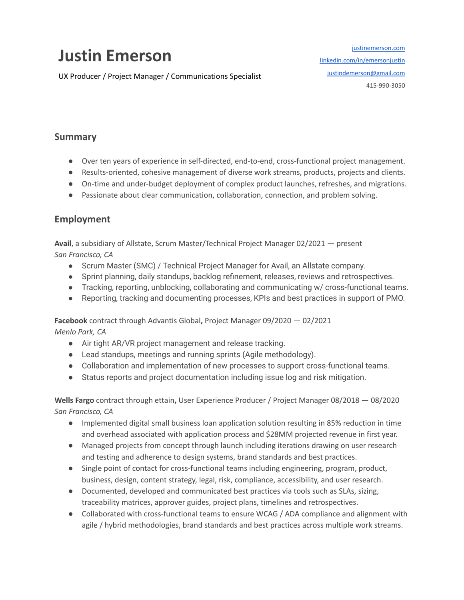# **Justin Emerson**

UX Producer / Project Manager / Communications Specialist

[justinemerson.com](http://justinemerson.com) [linkedin.com/in/emersonjustin](http://www.linkedin.com/in/emersonjustin) [justindemerson@gmail.com](mailto:justindemerson@gmail.com) 415-990-3050

## **Summary**

- Over ten years of experience in self-directed, end-to-end, cross-functional project management.
- Results-oriented, cohesive management of diverse work streams, products, projects and clients.
- On-time and under-budget deployment of complex product launches, refreshes, and migrations.
- Passionate about clear communication, collaboration, connection, and problem solving.

### **Employment**

**Avail**, a subsidiary of Allstate, Scrum Master/Technical Project Manager 02/2021 — present *San Francisco, CA*

- Scrum Master (SMC) / Technical Project Manager for Avail, an Allstate company.
- Sprint planning, daily standups, backlog refinement, releases, reviews and retrospectives.
- Tracking, reporting, unblocking, collaborating and communicating w/ cross-functional teams.
- Reporting, tracking and documenting processes, KPIs and best practices in support of PMO.

**Facebook** contract through Advantis Global**,** Project Manager 09/2020 — 02/2021 *Menlo Park, CA*

- Air tight AR/VR project management and release tracking.
- Lead standups, meetings and running sprints (Agile methodology).
- Collaboration and implementation of new processes to support cross-functional teams.
- Status reports and project documentation including issue log and risk mitigation.

**Wells Fargo** contract through ettain**,** User Experience Producer / Project Manager 08/2018 — 08/2020 *San Francisco, CA*

- Implemented digital small business loan application solution resulting in 85% reduction in time and overhead associated with application process and \$28MM projected revenue in first year.
- Managed projects from concept through launch including iterations drawing on user research and testing and adherence to design systems, brand standards and best practices.
- Single point of contact for cross-functional teams including engineering, program, product, business, design, content strategy, legal, risk, compliance, accessibility, and user research.
- Documented, developed and communicated best practices via tools such as SLAs, sizing, traceability matrices, approver guides, project plans, timelines and retrospectives.
- Collaborated with cross-functional teams to ensure WCAG / ADA compliance and alignment with agile / hybrid methodologies, brand standards and best practices across multiple work streams.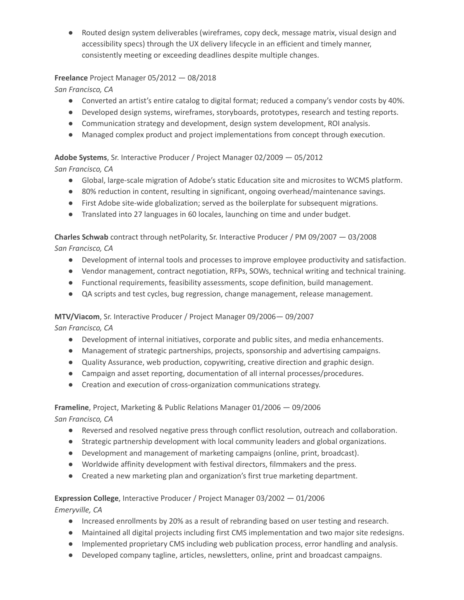● Routed design system deliverables (wireframes, copy deck, message matrix, visual design and accessibility specs) through the UX delivery lifecycle in an efficient and timely manner, consistently meeting or exceeding deadlines despite multiple changes.

### **Freelance** Project Manager 05/2012 — 08/2018

*San Francisco, CA*

- Converted an artist's entire catalog to digital format; reduced a company's vendor costs by 40%.
- Developed design systems, wireframes, storyboards, prototypes, research and testing reports.
- Communication strategy and development, design system development, ROI analysis.
- Managed complex product and project implementations from concept through execution.

**Adobe Systems**, Sr. Interactive Producer / Project Manager 02/2009 — 05/2012

*San Francisco, CA*

- Global, large-scale migration of Adobe's static Education site and microsites to WCMS platform.
- 80% reduction in content, resulting in significant, ongoing overhead/maintenance savings.
- First Adobe site-wide globalization; served as the boilerplate for subsequent migrations.
- Translated into 27 languages in 60 locales, launching on time and under budget.

**Charles Schwab** contract through netPolarity, Sr. Interactive Producer / PM 09/2007 — 03/2008 *San Francisco, CA*

- Development of internal tools and processes to improve employee productivity and satisfaction.
- Vendor management, contract negotiation, RFPs, SOWs, technical writing and technical training.
- Functional requirements, feasibility assessments, scope definition, build management.
- QA scripts and test cycles, bug regression, change management, release management.

### **MTV/Viacom**, Sr. Interactive Producer / Project Manager 09/2006— 09/2007

*San Francisco, CA*

- Development of internal initiatives, corporate and public sites, and media enhancements.
- Management of strategic partnerships, projects, sponsorship and advertising campaigns.
- Quality Assurance, web production, copywriting, creative direction and graphic design.
- Campaign and asset reporting, documentation of all internal processes/procedures.
- Creation and execution of cross-organization communications strategy.

**Frameline**, Project, Marketing & Public Relations Manager 01/2006 — 09/2006

*San Francisco, CA*

- Reversed and resolved negative press through conflict resolution, outreach and collaboration.
- Strategic partnership development with local community leaders and global organizations.
- Development and management of marketing campaigns (online, print, broadcast).
- Worldwide affinity development with festival directors, filmmakers and the press.
- Created a new marketing plan and organization's first true marketing department.

**Expression College**, Interactive Producer / Project Manager 03/2002 — 01/2006 *Emeryville, CA*

- Increased enrollments by 20% as a result of rebranding based on user testing and research.
- Maintained all digital projects including first CMS implementation and two major site redesigns.
- Implemented proprietary CMS including web publication process, error handling and analysis.
- Developed company tagline, articles, newsletters, online, print and broadcast campaigns.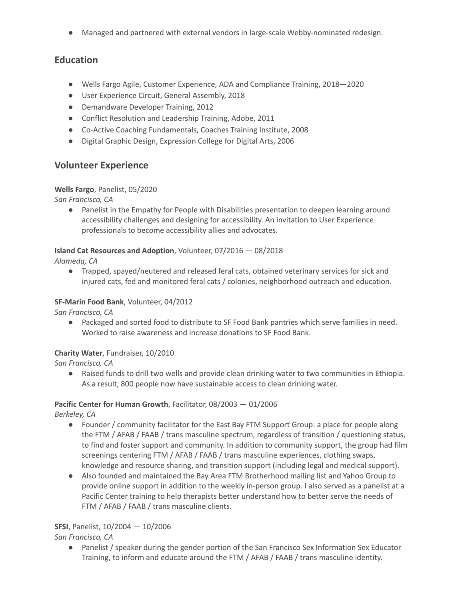● Managed and partnered with external vendors in large-scale Webby-nominated redesign.

# **Education**

- Wells Fargo Agile, Customer Experience, ADA and Compliance Training, 2018—2020
- User Experience Circuit, General Assembly, 2018
- Demandware Developer Training, 2012
- Conflict Resolution and Leadership Training, Adobe, 2011
- Co-Active Coaching Fundamentals, Coaches Training Institute, 2008
- Digital Graphic Design, Expression College for Digital Arts, 2006

# **Volunteer Experience**

### **Wells Fargo**, Panelist, 05/2020

*San Francisco, CA*

● Panelist in the Empathy for People with Disabilities presentation to deepen learning around accessibility challenges and designing for accessibility. An invitation to User Experience professionals to become accessibility allies and advocates.

# **Island Cat Resources and Adoption**, Volunteer, 07/2016 — 08/2018

*Alameda, CA*

● Trapped, spayed/neutered and released feral cats, obtained veterinary services for sick and injured cats, fed and monitored feral cats / colonies, neighborhood outreach and education.

### **SF-Marin Food Bank**, Volunteer, 04/2012

*San Francisco, CA*

● Packaged and sorted food to distribute to SF Food Bank pantries which serve families in need. Worked to raise awareness and increase donations to SF Food Bank.

### **Charity Water**, Fundraiser, 10/2010

*San Francisco, CA*

● Raised funds to drill two wells and provide clean drinking water to two communities in Ethiopia. As a result, 800 people now have sustainable access to clean drinking water.

# **Pacific Center for Human Growth**, Facilitator, 08/2003 — 01/2006

*Berkeley, CA*

- Founder / community facilitator for the East Bay FTM Support Group: a place for people along the FTM / AFAB / FAAB / trans masculine spectrum, regardless of transition / questioning status, to find and foster support and community. In addition to community support, the group had film screenings centering FTM / AFAB / FAAB / trans masculine experiences, clothing swaps, knowledge and resource sharing, and transition support (including legal and medical support).
- Also founded and maintained the Bay Area FTM Brotherhood mailing list and Yahoo Group to provide online support in addition to the weekly in-person group. I also served as a panelist at a Pacific Center training to help therapists better understand how to better serve the needs of FTM / AFAB / FAAB / trans masculine clients.

# **SFSI**, Panelist, 10/2004 — 10/2006

*San Francisco, CA*

● Panelist / speaker during the gender portion of the San Francisco Sex Information Sex Educator Training, to inform and educate around the FTM / AFAB / FAAB / trans masculine identity.